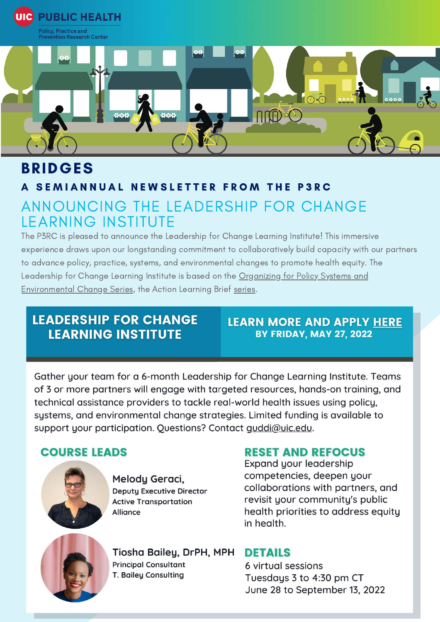

# **BRIDGES**

## A SEMIANNUAL NEWSLETTER FROM THE P3RC ANNOUNCING THE LEADERSHIP FOR CHANGE **LEARNING INSTITUTE**

The P3RC is pleased to announce the Leadership for Change Learning Institute! This immersive experience draws upon our longstanding commitment to collaboratively build capacity with our partners to advance policy, practice, systems, and environmental changes to promote health equity. The Leadership for Change Learning Institute is based on the Organizing for Policy Systems and **Environmental Change Series, the Action Learning Brief series.** 

### **LEADERSHIP FOR CHANGE LEARNING INSTITUTE**

#### **LEARN MORE AND APPLY HERE BY FRIDAY, MAY 27, 2022**

Gather your team for a 6-month Leadership for Change Learning Institute. Teams of 3 or more partners will engage with targeted resources, hands-on training, and technical assistance providers to tackle real-world health issues using policy, systems, and environmental change strategies. Limited funding is available to support your participation. Questions? Contact guddi@uic.edu.

#### **COURSE LEADS**



Melody Geraci, **Deputy Executive Director Active Transportation Alliance** 

#### **RESET AND REFOCUS**

Expand your leadership competencies, deepen your collaborations with partners, and revisit your community's public health priorities to address equity in health.



Tiosha Bailey, DrPH, MPH **Principal Consultant** T. Bailey Consulting

#### **DETAILS**

6 virtual sessions Tuesdays 3 to 4:30 pm CT June 28 to September 13, 2022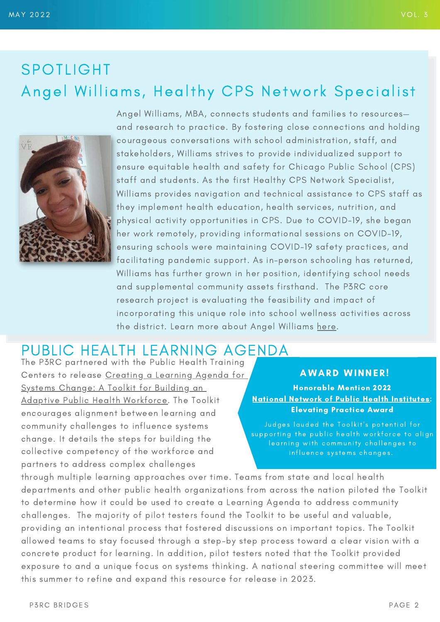# SPOTLIGHT Angel Williams, Healthy CPS Network Specialist



Angel Williams, MBA, connects students and families to resources and research to practice. By fostering close connections and holding courageous conversations with school administration, staff, and stakeholders, Williams strives to provide individualized support to ensure equitable health and safety for Chicago Public School (CPS) staff and students. As the first Healthy CPS Network Specialist, Williams provides navigation and technical assistance to CPS staff as they implement health education, health services, nutrition, and physical activity opportunities in CPS. Due to COVID-19, she began her work remotely, providing informational sessions on COVID-19, ensuring schools were maintaining COVID-19 safety practices, and facilitating pandemic support. As in-person schooling has returned, Williams has further grown in her position, identifying school needs and supplemental community assets firsthand. The P3RC core research project is evaluating the feasibility and impact of incorporating this unique role into school wellness activities across the district. Learn more about Angel Williams [here.](https://p3rc.uic.edu/news-stories/get-to-know-angel-williams-healthy-cps-network-specialist-2/)

## PUBLIC HEALTH LEARNING AGENDA

The P3RC partnered with the Public Health Training Centers to release [Creating a Learning Agenda for](https://publichealthlearningagenda.org/) [Systems Change: A Toolkit for Building an](https://publichealthlearningagenda.org/) [Adaptive Public Health Workforce](https://publichealthlearningagenda.org/). The Toolkit encourages alignment between learning and community challenges to influence systems change. It details the steps for building the collective competency of the workforce and partners to address complex challenges

#### **AWARD WINNER!**

Honorable Mention 2022 [National Network of Public Health Institutes](https://nnphi.org/): Elevating Practice Award

Judges lauded the Toolkit's potential for supporting the public health workforce to align learning with community challenges to in fluence systems changes.

through multiple learning approaches over time. Teams from state and local health departments and other public health organizations from across the nation piloted the Toolkit to determine how it could be used to create a Learning Agenda to address community challenges. The majority of pilot testers found the Toolkit to be useful and valuable, providing an intentional process that fostered discussions on important topics. The Toolkit allowed teams to stay focused through a step-by step process toward a clear vision with a concrete product for learning. In addition, pilot testers noted that the Toolkit provided exposure to and a unique focus on systems thinking. A national steering committee will meet this summer to refine and expand this resource for release in 2023.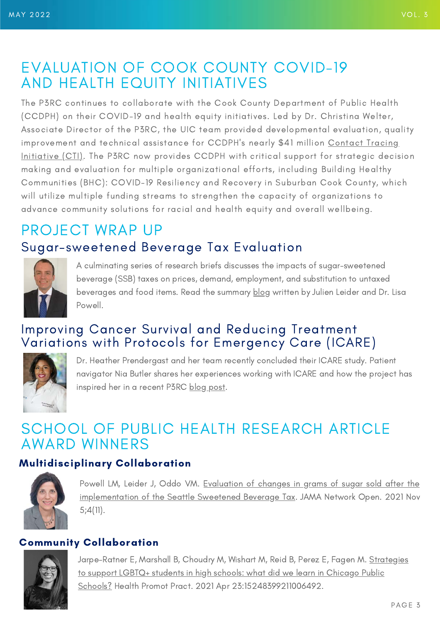## EVALUATION OF COOK COUNTY COVID-19 AND HEALTH EQUITY INITIATIVES

The P3RC continues to collaborate with the Cook County Department of Public Health (CCDPH) on their COVID-19 and health equity initiatives. Led by Dr. Christina Welter, Associate Director of the P3RC, the UIC team provided developmental evaluation, quality improvement and technical assistance for CCDPH's nearly \$41 million Contact Tracing [Initiative \(CTI\). The P3RC now provides CCDPH with critical support for strategic decis](https://cookcountypublichealth.org/communicable-diseases/covid-19/contact-tracing-initiative/)ion making and evaluation for multiple organizational efforts, including Building Healthy Communities (BHC): COVID-19 Resiliency and Recovery in Suburban Cook County, which will utilize multiple funding streams to strengthen the capacity of organizations to advance community solutions for racial and health equity and overall wellbeing.

# PROJECT WRAP UP Sugar-sweetened Beverage Tax Evaluation



A culminating series of research briefs discusses the impacts of sugar-sweetened beverage (SSB) taxes on prices, demand, employment, and substitution to untaxed beverages and food items. Read the summary [blog](https://p3rc.uic.edu/news-stories/p3rc-research-briefs-summarize-evidence-on-the-impacts-of-ssb-taxes-in-the-united-states/) written by Julien Leider and Dr. Lisa Powell.

### Improving Cancer Survival and Reducing Treatment Variations with Protocols for Emergency Care (ICARE)



Dr. Heather Prendergast and her team recently concluded their ICARE study. Patient navigator Nia Butler shares her experiences working with ICARE and how the project has inspired her in a recent P3RC [blog post](https://p3rc.uic.edu/news-stories/reflections-of-a-patient-navigator-in-cancer-treatment/).

## SCHOOL OF PUBLIC HEALTH RESEARCH ARTICLE AWARD WINNERS

### Multidisciplinary Collaboration



[Powell LM, Leider J, Oddo VM. Evaluation of changes in grams of sugar sold after the](https://jamanetwork.com/journals/jamanetworkopen/fullarticle/2785907) implementation of the Seattle Sweetened Beverage Tax. JAMA Network Open. 2021 Nov 5;4(11).

#### Community Collaboration



[Jarpe-Ratner E, Marshall B, Choudry M, Wishart M, Reid B, Perez E, Fagen M. Strategies](https://pubmed.ncbi.nlm.nih.gov/33890508/) to support LGBTQ+ students in high schools: what did we learn in Chicago Public Schools? Health Promot Pract. 2021 Apr 23:15248399211006492.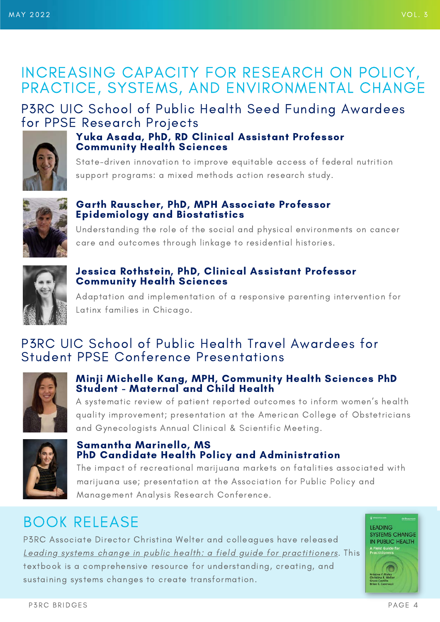## INCREASING CAPACITY FOR RESEARCH ON POLICY, PRACTICE, SYSTEMS, AND ENVIRONMENTAL CHANGE

## P3RC UIC School of Public Health Seed Funding Awardees for PPSE Research Projects



#### Yuka Asada, PhD, RD Clinical Assistant Professor Community Health Sciences

State-driven innovation to improve equitable access of federal nutrition support programs: a mixed methods action research study.



#### Garth Rauscher, PhD, MPH Associate Professor Epidemiology and Biostatistics

Understanding the role of the social and physical environments on cancer care and outcomes through linkage to residential histories.



#### Jessica Rothstein, PhD, Clinical Assistant Professor Community Health Sciences

Adaptation and implementation of a responsive parenting intervention for Latinx families in Chicago.

### P3RC UIC School of Public Health Travel Awardees for Student PPSE Conference Presentations



#### Minji Michelle Kang, MPH, Community Health Sciences PhD Student - Maternal and Child Health

A systematic review of patient reported outcomes to inform women's health quality improvement; presentation at the American College of Obstetricians and Gynecologists Annual Clinical & Scientific Meeting.



#### Samantha Marinello, MS PhD Candidate Health Policy and Administration

The impact of recreational marijuana markets on fatalities associated with marijuana use; presentation at the Association for Public Policy and Management Analysis Research Conference.

# BOOK RELEASE

P3RC Associate Director Christina Welter and colleagues have released [Leading systems change in public health: a field guide for practitioners.](https://debeaumont.org/books/leading-systems-change-in-public-health/) This textbook is a comprehensive resource for understanding, creating, and sustaining systems changes to create transformation.